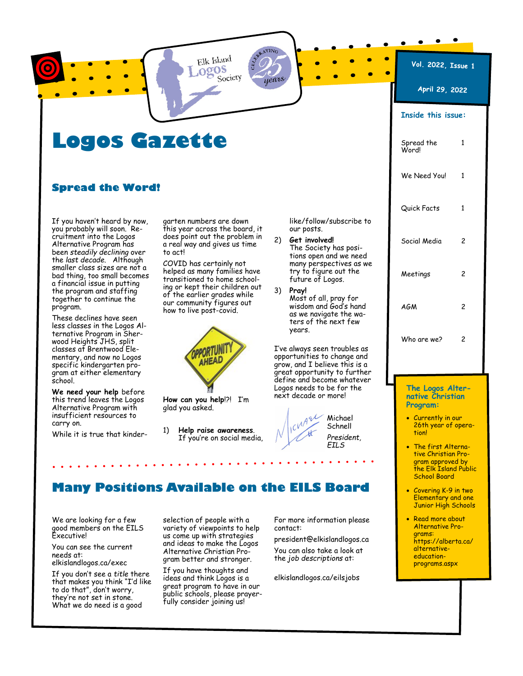Elk Island ogos Society  $_{a}$  NTIN

years

Vol. 2022, Issue 1

## Logos Gazette

### Spread the Word!

If you haven't heard by now, you probably will soon. Recruitment into the Logos Alternative Program has been steadily declining over the *last decade*. Although smaller class sizes are not a bad thing, too small becomes a financial issue in putting the program and staffing together to continue the program.

These declines have seen less classes in the Logos Alternative Program in Sherwood Heights JHS, split classes at Brentwood Elementary, and now no Logos specific kindergarten program at either elementary school.

We need your help before this trend leaves the Logos Alternative Program with insufficient resources to carry on.

While it is true that kinder-

garten numbers are down this year across the board, it does point out the problem in a real way and gives us time to act!

COVID has certainly not helped as many families have transitioned to home schooling or kept their children out of the earlier grades while our community figures out how to live post-covid.



How can you help!?! I'm glad you asked.

1) Help raise awareness. If you're on social media, like/follow/subscribe to our posts.

- 2) Get involved! The Society has positions open and we need many perspectives as we try to figure out the future of Logos.
- 3) Pray! Most of all, pray for wisdom and God's hand as we navigate the waters of the next few years.

I've always seen troubles as opportunities to change and grow, and I believe this is a great opportunity to further define and become whatever Logos needs to be for the next decade or more!



Michael Schnell President, EILS

# April 29, 2022 Inside this issue: Spread the 1 Word! We Need You! 1 Quick Facts 1 Social Media 2 Meetings 2 AGM 2 Who are we? 2

The Logos Alternative Christian Program:

- Currently in our 26th year of operation!
- · The first Alternative Christian Program approved by the Elk Island Public School Board
- · Covering K-9 in two Elementary and one Junior High Schools
- · Read more about Alternative Programs: https://alberta.ca/ alternativeeducationprograms.aspx

#### We are looking for a few good members on the EILS Executive!

You can see the current needs at:

elkislandlogos.ca/exec

If you don't see a title there that makes you think "I'd like to do that", don't worry, they're not set in stone. What we do need is a good

selection of people with a variety of viewpoints to help us come up with strategies and ideas to make the Logos Alternative Christian Program better and stronger.

Many Positions Available on the EILS Board

If you have thoughts and ideas and think Logos is a great program to have in our public schools, please prayerfully consider joining us!

For more information please contact:

president@elkislandlogos.ca You can also take a look at the job descriptions at:

elkislandlogos.ca/eilsjobs